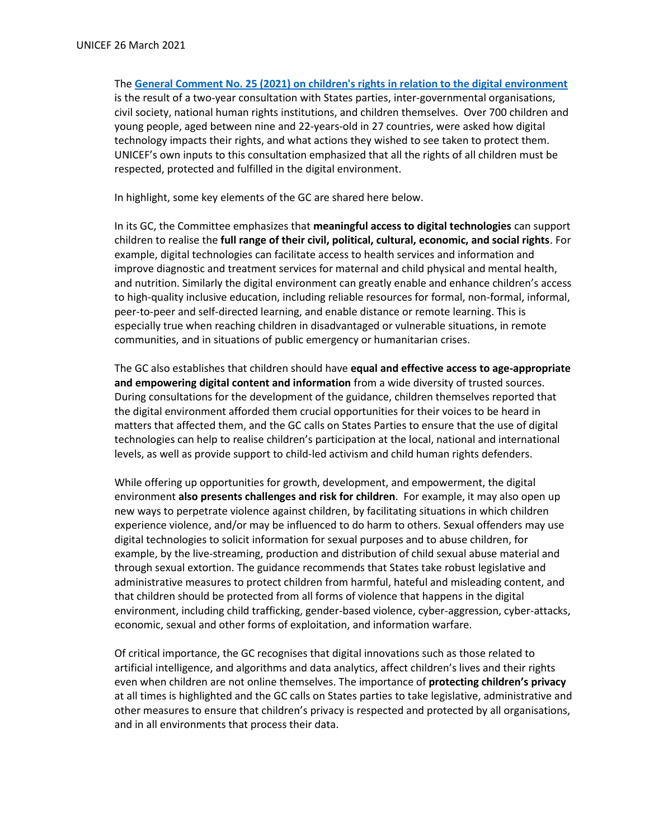The **[General Comment No. 25 \(2021\) on children's rights in relation to the digital environment](https://tbinternet.ohchr.org/_layouts/15/treatybodyexternal/TBSearch.aspx?Lang=en&TreatyID=5&DocTypeID=11)** is the result of a two-year consultation with States parties, inter-governmental organisations, civil society, national human rights institutions, and children themselves. Over 700 children and young people, aged between nine and 22-years-old in 27 countries, were asked how digital technology impacts their rights, and what actions they wished to see taken to protect them. UNICEF's own inputs to this consultation emphasized that all the rights of all children must be respected, protected and fulfilled in the digital environment.

In highlight, some key elements of the GC are shared here below.

In its GC, the Committee emphasizes that **meaningful access to digital technologies** can support children to realise the **full range of their civil, political, cultural, economic, and social rights**. For example, digital technologies can facilitate access to health services and information and improve diagnostic and treatment services for maternal and child physical and mental health, and nutrition. Similarly the digital environment can greatly enable and enhance children's access to high-quality inclusive education, including reliable resources for formal, non-formal, informal, peer-to-peer and self-directed learning, and enable distance or remote learning. This is especially true when reaching children in disadvantaged or vulnerable situations, in remote communities, and in situations of public emergency or humanitarian crises.

The GC also establishes that children should have **equal and effective access to age-appropriate and empowering digital content and information** from a wide diversity of trusted sources. During consultations for the development of the guidance, children themselves reported that the digital environment afforded them crucial opportunities for their voices to be heard in matters that affected them, and the GC calls on States Parties to ensure that the use of digital technologies can help to realise children's participation at the local, national and international levels, as well as provide support to child-led activism and child human rights defenders.

While offering up opportunities for growth, development, and empowerment, the digital environment **also presents challenges and risk for children**. For example, it may also open up new ways to perpetrate violence against children, by facilitating situations in which children experience violence, and/or may be influenced to do harm to others. Sexual offenders may use digital technologies to solicit information for sexual purposes and to abuse children, for example, by the live-streaming, production and distribution of child sexual abuse material and through sexual extortion. The guidance recommends that States take robust legislative and administrative measures to protect children from harmful, hateful and misleading content, and that children should be protected from all forms of violence that happens in the digital environment, including child trafficking, gender-based violence, cyber-aggression, cyber-attacks, economic, sexual and other forms of exploitation, and information warfare.

Of critical importance, the GC recognises that digital innovations such as those related to artificial intelligence, and algorithms and data analytics, affect children's lives and their rights even when children are not online themselves. The importance of **protecting children's privacy** at all times is highlighted and the GC calls on States parties to take legislative, administrative and other measures to ensure that children's privacy is respected and protected by all organisations, and in all environments that process their data.